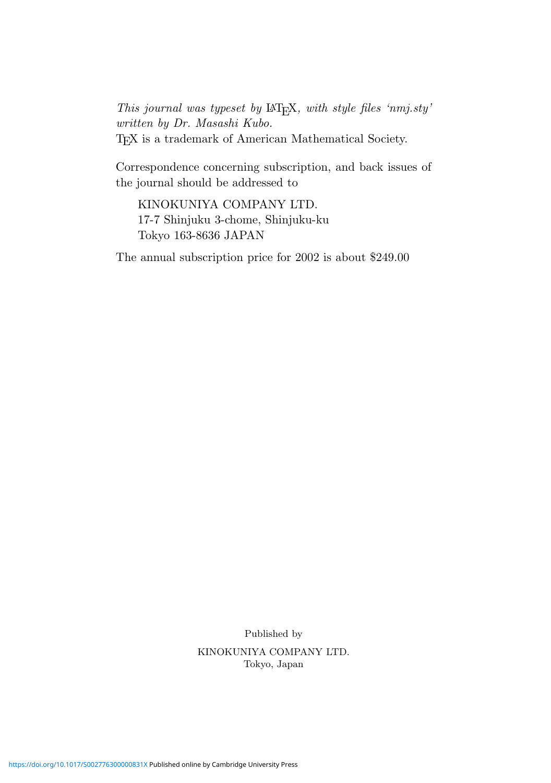This journal was typeset by  $\mathbb{L}$ F<sub>E</sub>X, with style files 'nmj.sty' written by Dr. Masashi Kubo. T<sub>E</sub>X is a trademark of American Mathematical Society.

Correspondence concerning subscription, and back issues of the journal should be addressed to

KINOKUNIYA COMPANY LTD. 17-7 Shinjuku 3-chome, Shinjuku-ku Tokyo 163-8636 JAPAN

The annual subscription price for 2002 is about \$249.00

Published by

KINOKUNIYA COMPANY LTD. Tokyo, Japan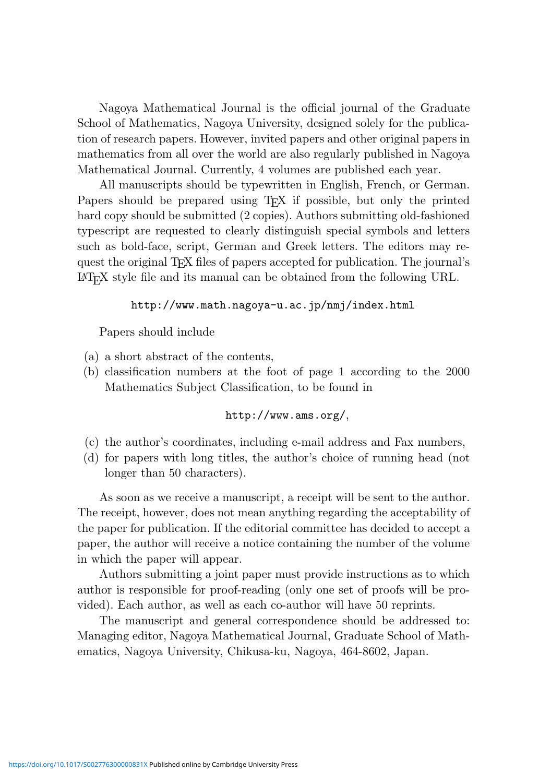Nagoya Mathematical Journal is the official journal of the Graduate School of Mathematics, Nagoya University, designed solely for the publication of research papers. However, invited papers and other original papers in mathematics from all over the world are also regularly published in Nagoya Mathematical Journal. Currently, 4 volumes are published each year.

All manuscripts should be typewritten in English, French, or German. Papers should be prepared using T<sub>EX</sub> if possible, but only the printed hard copy should be submitted (2 copies). Authors submitting old-fashioned typescript are requested to clearly distinguish special symbols and letters such as bold-face, script, German and Greek letters. The editors may request the original TEX files of papers accepted for publication. The journal's  $\text{LAT}$ <sub>EX</sub> style file and its manual can be obtained from the following URL.

## http://www.math.nagoya-u.ac.jp/nmj/index.html

Papers should include

- (a) a short abstract of the contents,
- (b) classification numbers at the foot of page 1 according to the 2000 Mathematics Subject Classification, to be found in

## http://www.ams.org/,

- (c) the author's coordinates, including e-mail address and Fax numbers,
- (d) for papers with long titles, the author's choice of running head (not longer than 50 characters).

As soon as we receive a manuscript, a receipt will be sent to the author. The receipt, however, does not mean anything regarding the acceptability of the paper for publication. If the editorial committee has decided to accept a paper, the author will receive a notice containing the number of the volume in which the paper will appear.

Authors submitting a joint paper must provide instructions as to which author is responsible for proof-reading (only one set of proofs will be provided). Each author, as well as each co-author will have 50 reprints.

The manuscript and general correspondence should be addressed to: Managing editor, Nagoya Mathematical Journal, Graduate School of Mathematics, Nagoya University, Chikusa-ku, Nagoya, 464-8602, Japan.